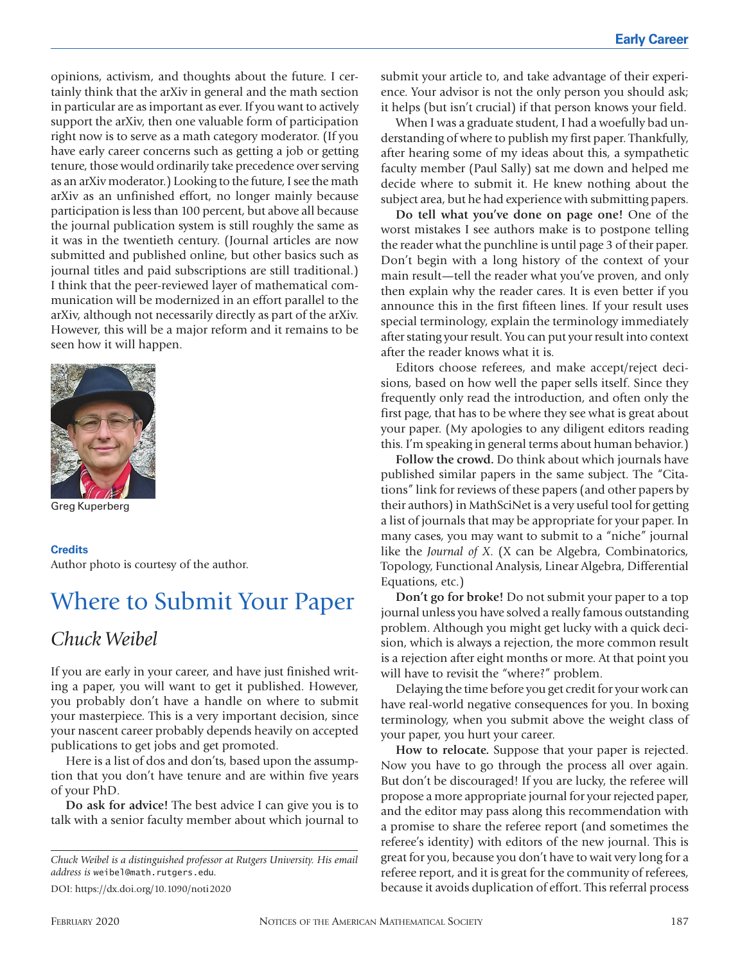opinions, activism, and thoughts about the future. I certainly think that the arXiv in general and the math section in particular are as important as ever. If you want to actively support the arXiv, then one valuable form of participation right now is to serve as a math category moderator. (If you have early career concerns such as getting a job or getting tenure, those would ordinarily take precedence over serving as an arXiv moderator.) Looking to the future, I see the math arXiv as an unfinished effort, no longer mainly because participation is less than 100 percent, but above all because the journal publication system is still roughly the same as it was in the twentieth century. (Journal articles are now submitted and published online, but other basics such as journal titles and paid subscriptions are still traditional.) I think that the peer-reviewed layer of mathematical communication will be modernized in an effort parallel to the arXiv, although not necessarily directly as part of the arXiv. However, this will be a major reform and it remains to be seen how it will happen.



Greg Kuperberg

**Credits** Author photo is courtesy of the author.

## Where to Submit Your Paper

## *Chuck Weibel*

If you are early in your career, and have just finished writing a paper, you will want to get it published. However, you probably don't have a handle on where to submit your masterpiece. This is a very important decision, since your nascent career probably depends heavily on accepted publications to get jobs and get promoted.

Here is a list of dos and don'ts, based upon the assumption that you don't have tenure and are within five years of your PhD.

**Do ask for advice!** The best advice I can give you is to talk with a senior faculty member about which journal to

*Chuck Weibel is a distinguished professor at Rutgers University. His email address is* weibel@math.rutgers.edu*.*

DOI: https://dx.doi.org/10.1090/noti2020

submit your article to, and take advantage of their experience. Your advisor is not the only person you should ask; it helps (but isn't crucial) if that person knows your field.

When I was a graduate student, I had a woefully bad understanding of where to publish my first paper. Thankfully, after hearing some of my ideas about this, a sympathetic faculty member (Paul Sally) sat me down and helped me decide where to submit it. He knew nothing about the subject area, but he had experience with submitting papers.

**Do tell what you've done on page one!** One of the worst mistakes I see authors make is to postpone telling the reader what the punchline is until page 3 of their paper. Don't begin with a long history of the context of your main result—tell the reader what you've proven, and only then explain why the reader cares. It is even better if you announce this in the first fifteen lines. If your result uses special terminology, explain the terminology immediately after stating your result. You can put your result into context after the reader knows what it is.

Editors choose referees, and make accept/reject decisions, based on how well the paper sells itself. Since they frequently only read the introduction, and often only the first page, that has to be where they see what is great about your paper. (My apologies to any diligent editors reading this. I'm speaking in general terms about human behavior.)

**Follow the crowd.** Do think about which journals have published similar papers in the same subject. The "Citations" link for reviews of these papers (and other papers by their authors) in MathSciNet is a very useful tool for getting a list of journals that may be appropriate for your paper. In many cases, you may want to submit to a "niche" journal like the *Journal of X*. (X can be Algebra, Combinatorics, Topology, Functional Analysis, Linear Algebra, Differential Equations, etc.)

**Don't go for broke!** Do not submit your paper to a top journal unless you have solved a really famous outstanding problem. Although you might get lucky with a quick decision, which is always a rejection, the more common result is a rejection after eight months or more. At that point you will have to revisit the "where?" problem.

Delaying the time before you get credit for your work can have real-world negative consequences for you. In boxing terminology, when you submit above the weight class of your paper, you hurt your career.

**How to relocate.** Suppose that your paper is rejected. Now you have to go through the process all over again. But don't be discouraged! If you are lucky, the referee will propose a more appropriate journal for your rejected paper, and the editor may pass along this recommendation with a promise to share the referee report (and sometimes the referee's identity) with editors of the new journal. This is great for you, because you don't have to wait very long for a referee report, and it is great for the community of referees, because it avoids duplication of effort. This referral process